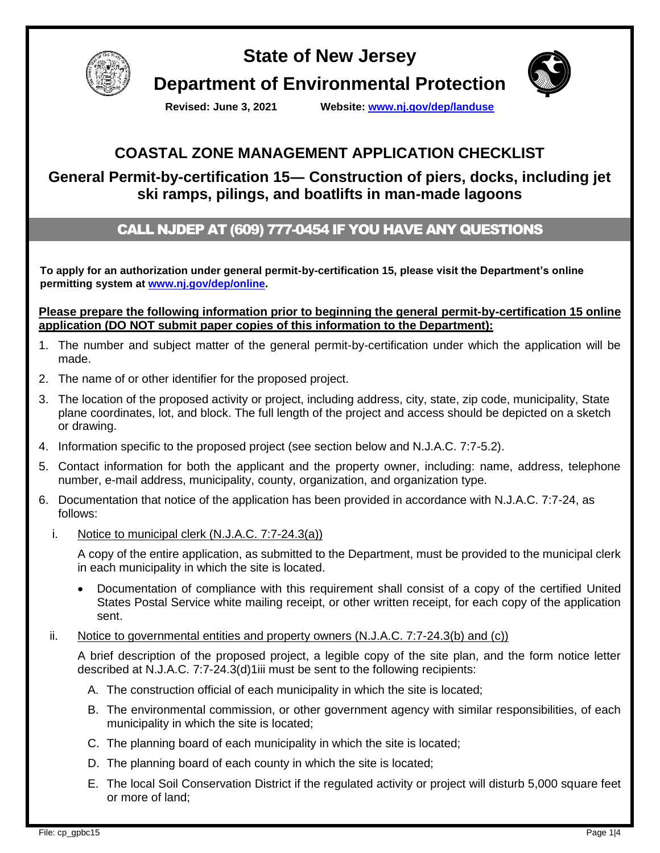

**State of New Jersey Department of Environmental Protection**



**Revised: June 3, 2021 Website: [www.nj.gov/dep/landuse](http://www.nj.gov/dep/landuse)**

# **COASTAL ZONE MANAGEMENT APPLICATION CHECKLIST**

## **General Permit-by-certification 15― Construction of piers, docks, including jet ski ramps, pilings, and boatlifts in man-made lagoons**

### CALL NJDEP AT (609) 777-0454 IF YOU HAVE ANY QUESTIONS

**To apply for an authorization under general permit-by-certification 15, please visit the Department's online permitting system at [www.nj.gov/dep/online.](http://www.nj.gov/dep/online)**

**Please prepare the following information prior to beginning the general permit-by-certification 15 online application (DO NOT submit paper copies of this information to the Department):**

- 1. The number and subject matter of the general permit-by-certification under which the application will be made.
- 2. The name of or other identifier for the proposed project.
- 3. The location of the proposed activity or project, including address, city, state, zip code, municipality, State plane coordinates, lot, and block. The full length of the project and access should be depicted on a sketch or drawing.
- 4. Information specific to the proposed project (see section below and N.J.A.C. 7:7-5.2).
- 5. Contact information for both the applicant and the property owner, including: name, address, telephone number, e-mail address, municipality, county, organization, and organization type.
- 6. Documentation that notice of the application has been provided in accordance with N.J.A.C. 7:7-24, as follows:
	- i. Notice to municipal clerk (N.J.A.C. 7:7-24.3(a))

A copy of the entire application, as submitted to the Department, must be provided to the municipal clerk in each municipality in which the site is located.

• Documentation of compliance with this requirement shall consist of a copy of the certified United States Postal Service white mailing receipt, or other written receipt, for each copy of the application sent.

#### ii. Notice to governmental entities and property owners (N.J.A.C. 7:7-24.3(b) and (c))

A brief description of the proposed project, a legible copy of the site plan, and the form notice letter described at N.J.A.C. 7:7-24.3(d)1iii must be sent to the following recipients:

- A. The construction official of each municipality in which the site is located;
- B. The environmental commission, or other government agency with similar responsibilities, of each municipality in which the site is located;
- C. The planning board of each municipality in which the site is located;
- D. The planning board of each county in which the site is located;
- E. The local Soil Conservation District if the regulated activity or project will disturb 5,000 square feet or more of land;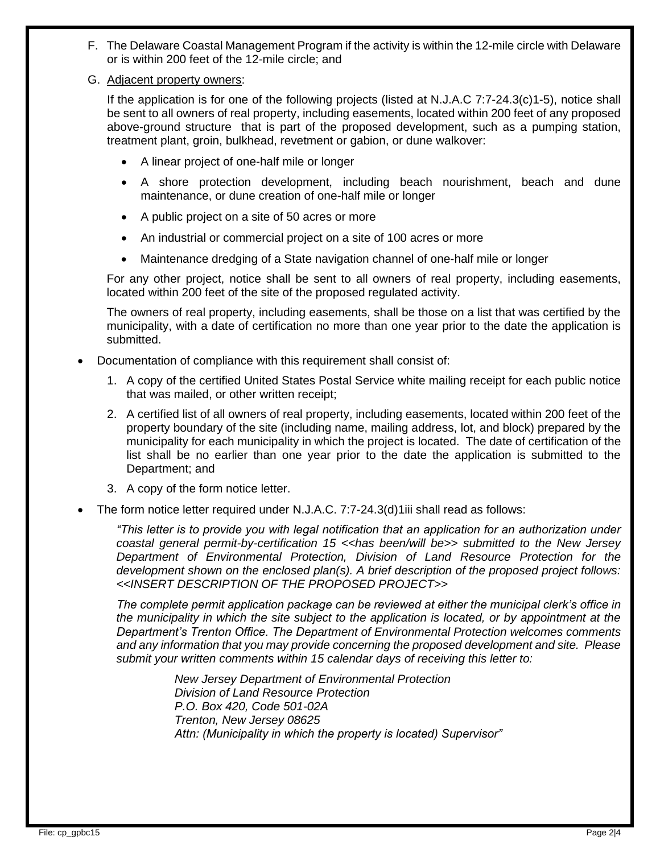- F. The Delaware Coastal Management Program if the activity is within the 12-mile circle with Delaware or is within 200 feet of the 12-mile circle; and
- G. Adjacent property owners:

If the application is for one of the following projects (listed at N.J.A.C 7:7-24.3(c)1-5), notice shall be sent to all owners of real property, including easements, located within 200 feet of any proposed above-ground structure that is part of the proposed development, such as a pumping station, treatment plant, groin, bulkhead, revetment or gabion, or dune walkover:

- A linear project of one-half mile or longer
- A shore protection development, including beach nourishment, beach and dune maintenance, or dune creation of one-half mile or longer
- A public project on a site of 50 acres or more
- An industrial or commercial project on a site of 100 acres or more
- Maintenance dredging of a State navigation channel of one-half mile or longer

For any other project, notice shall be sent to all owners of real property, including easements, located within 200 feet of the site of the proposed regulated activity.

The owners of real property, including easements, shall be those on a list that was certified by the municipality, with a date of certification no more than one year prior to the date the application is submitted.

- Documentation of compliance with this requirement shall consist of:
	- 1. A copy of the certified United States Postal Service white mailing receipt for each public notice that was mailed, or other written receipt;
	- 2. A certified list of all owners of real property, including easements, located within 200 feet of the property boundary of the site (including name, mailing address, lot, and block) prepared by the municipality for each municipality in which the project is located. The date of certification of the list shall be no earlier than one year prior to the date the application is submitted to the Department; and
	- 3. A copy of the form notice letter.
- The form notice letter required under N.J.A.C. 7:7-24.3(d)1iii shall read as follows:

*"This letter is to provide you with legal notification that an application for an authorization under coastal general permit-by-certification 15 <<has been/will be>> submitted to the New Jersey Department of Environmental Protection, Division of Land Resource Protection for the development shown on the enclosed plan(s). A brief description of the proposed project follows: <<INSERT DESCRIPTION OF THE PROPOSED PROJECT>>*

*The complete permit application package can be reviewed at either the municipal clerk's office in the municipality in which the site subject to the application is located, or by appointment at the Department's Trenton Office. The Department of Environmental Protection welcomes comments and any information that you may provide concerning the proposed development and site. Please submit your written comments within 15 calendar days of receiving this letter to:*

> *New Jersey Department of Environmental Protection Division of Land Resource Protection P.O. Box 420, Code 501-02A Trenton, New Jersey 08625 Attn: (Municipality in which the property is located) Supervisor"*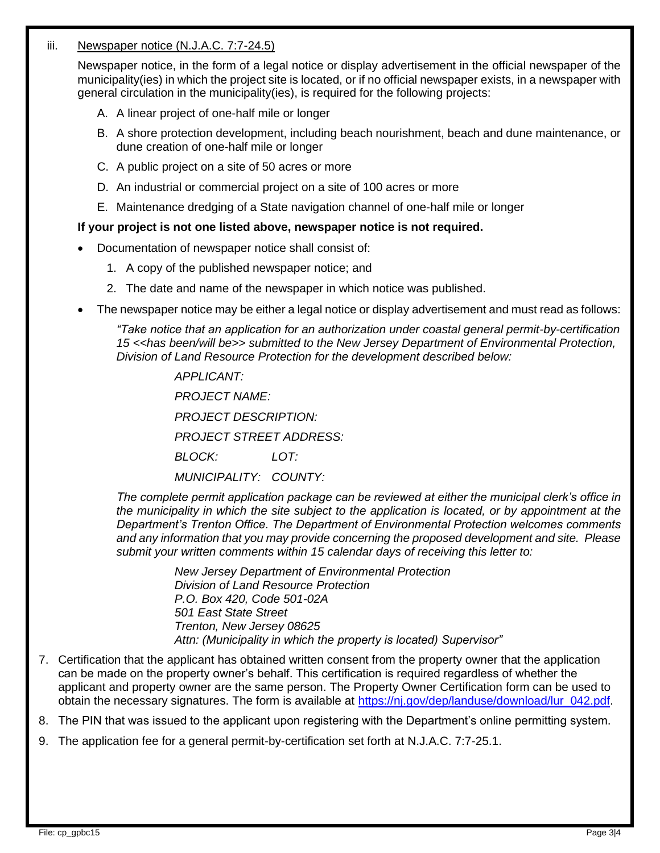#### iii. Newspaper notice (N.J.A.C. 7:7-24.5)

Newspaper notice, in the form of a legal notice or display advertisement in the official newspaper of the municipality(ies) in which the project site is located, or if no official newspaper exists, in a newspaper with general circulation in the municipality(ies), is required for the following projects:

- A. A linear project of one-half mile or longer
- B. A shore protection development, including beach nourishment, beach and dune maintenance, or dune creation of one-half mile or longer
- C. A public project on a site of 50 acres or more
- D. An industrial or commercial project on a site of 100 acres or more
- E. Maintenance dredging of a State navigation channel of one-half mile or longer

#### **If your project is not one listed above, newspaper notice is not required.**

- Documentation of newspaper notice shall consist of:
	- 1. A copy of the published newspaper notice; and
	- 2. The date and name of the newspaper in which notice was published.
- The newspaper notice may be either a legal notice or display advertisement and must read as follows:

*"Take notice that an application for an authorization under coastal general permit-by-certification 15 <<has been/will be>> submitted to the New Jersey Department of Environmental Protection, Division of Land Resource Protection for the development described below:*

> *APPLICANT: PROJECT NAME:*

*PROJECT DESCRIPTION:*

*PROJECT STREET ADDRESS:*

*BLOCK: LOT:*

*MUNICIPALITY: COUNTY:*

*The complete permit application package can be reviewed at either the municipal clerk's office in the municipality in which the site subject to the application is located, or by appointment at the Department's Trenton Office. The Department of Environmental Protection welcomes comments and any information that you may provide concerning the proposed development and site. Please submit your written comments within 15 calendar days of receiving this letter to:*

> *New Jersey Department of Environmental Protection Division of Land Resource Protection P.O. Box 420, Code 501-02A 501 East State Street Trenton, New Jersey 08625 Attn: (Municipality in which the property is located) Supervisor"*

7. Certification that the applicant has obtained written consent from the property owner that the application can be made on the property owner's behalf. This certification is required regardless of whether the applicant and property owner are the same person. The Property Owner Certification form can be used to obtain the necessary signatures. The form is available at [https://nj.gov/dep/landuse/download/lur\\_042.pdf.](https://nj.gov/dep/landuse/download/lur_042.pdf)

8. The PIN that was issued to the applicant upon registering with the Department's online permitting system.

9. The application fee for a general permit-by-certification set forth at N.J.A.C. 7:7-25.1.